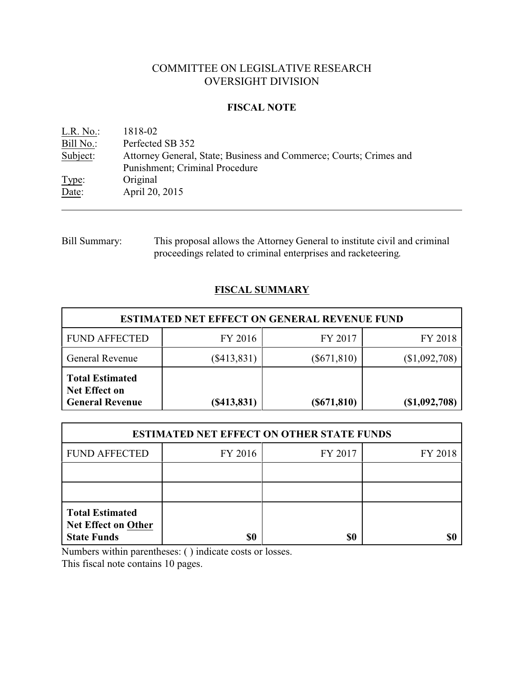# COMMITTEE ON LEGISLATIVE RESEARCH OVERSIGHT DIVISION

## **FISCAL NOTE**

| L.R. No.  | 1818-02                                                            |
|-----------|--------------------------------------------------------------------|
| Bill No.: | Perfected SB 352                                                   |
| Subject:  | Attorney General, State; Business and Commerce; Courts; Crimes and |
|           | Punishment; Criminal Procedure                                     |
| Type:     | Original                                                           |
| Date:     | April 20, 2015                                                     |

# Bill Summary: This proposal allows the Attorney General to institute civil and criminal proceedings related to criminal enterprises and racketeering.

## **FISCAL SUMMARY**

| <b>ESTIMATED NET EFFECT ON GENERAL REVENUE FUND</b>                      |               |                |               |  |  |  |
|--------------------------------------------------------------------------|---------------|----------------|---------------|--|--|--|
| <b>FUND AFFECTED</b>                                                     | FY 2016       | FY 2017        | FY 2018       |  |  |  |
| <b>General Revenue</b>                                                   | $(\$413,831)$ | $(\$671,810)$  | (\$1,092,708) |  |  |  |
| <b>Total Estimated</b><br><b>Net Effect on</b><br><b>General Revenue</b> | (S413, 831)   | $($ \$671,810) | (\$1,092,708) |  |  |  |

| <b>ESTIMATED NET EFFECT ON OTHER STATE FUNDS</b>                           |         |         |         |  |  |  |
|----------------------------------------------------------------------------|---------|---------|---------|--|--|--|
| <b>FUND AFFECTED</b>                                                       | FY 2016 | FY 2017 | FY 2018 |  |  |  |
|                                                                            |         |         |         |  |  |  |
|                                                                            |         |         |         |  |  |  |
| <b>Total Estimated</b><br><b>Net Effect on Other</b><br><b>State Funds</b> | \$0     | \$0     |         |  |  |  |

Numbers within parentheses: ( ) indicate costs or losses.

This fiscal note contains 10 pages.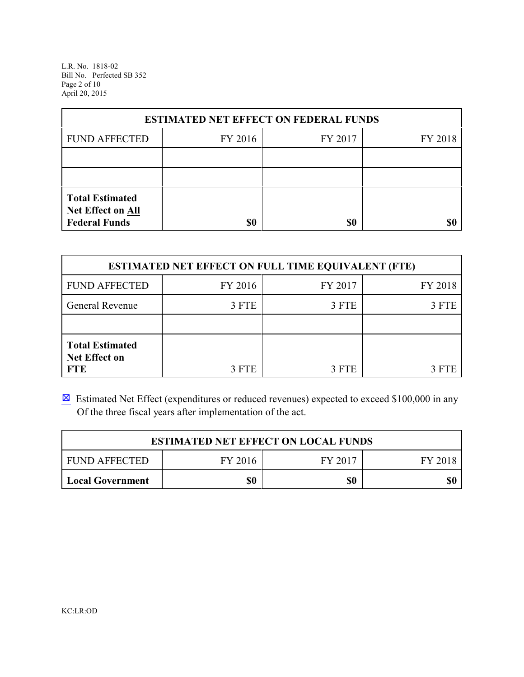L.R. No. 1818-02 Bill No. Perfected SB 352 Page 2 of 10 April 20, 2015

| <b>ESTIMATED NET EFFECT ON FEDERAL FUNDS</b>                        |         |         |         |  |  |
|---------------------------------------------------------------------|---------|---------|---------|--|--|
| <b>FUND AFFECTED</b>                                                | FY 2016 | FY 2017 | FY 2018 |  |  |
|                                                                     |         |         |         |  |  |
|                                                                     |         |         |         |  |  |
| <b>Total Estimated</b><br>Net Effect on All<br><b>Federal Funds</b> | \$0     | \$0     |         |  |  |

| <b>ESTIMATED NET EFFECT ON FULL TIME EQUIVALENT (FTE)</b>    |         |         |         |  |  |  |
|--------------------------------------------------------------|---------|---------|---------|--|--|--|
| <b>FUND AFFECTED</b>                                         | FY 2016 | FY 2017 | FY 2018 |  |  |  |
| General Revenue                                              | 3 FTE   | 3 FTE   | 3 FTE   |  |  |  |
|                                                              |         |         |         |  |  |  |
| <b>Total Estimated</b><br><b>Net Effect on</b><br><b>FTE</b> | 3 FTE   | 3 FTE   | 3 FTE   |  |  |  |

 $\boxtimes$  Estimated Net Effect (expenditures or reduced revenues) expected to exceed \$100,000 in any Of the three fiscal years after implementation of the act.

| <b>ESTIMATED NET EFFECT ON LOCAL FUNDS</b>            |  |  |  |  |  |
|-------------------------------------------------------|--|--|--|--|--|
| FY 2016<br>FY 2017<br><b>FUND AFFECTED</b><br>FY 2018 |  |  |  |  |  |
| \$0<br>\$0<br>\$0<br><b>Local Government</b>          |  |  |  |  |  |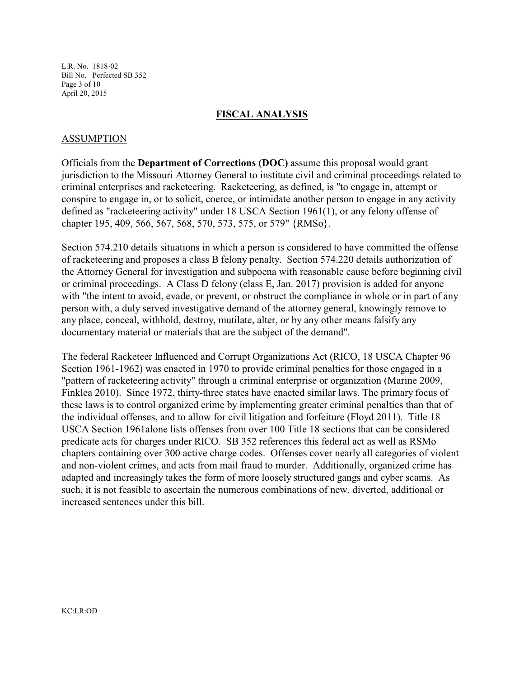L.R. No. 1818-02 Bill No. Perfected SB 352 Page 3 of 10 April 20, 2015

## **FISCAL ANALYSIS**

## ASSUMPTION

Officials from the **Department of Corrections (DOC)** assume this proposal would grant jurisdiction to the Missouri Attorney General to institute civil and criminal proceedings related to criminal enterprises and racketeering. Racketeering, as defined, is "to engage in, attempt or conspire to engage in, or to solicit, coerce, or intimidate another person to engage in any activity defined as "racketeering activity" under 18 USCA Section 1961(1), or any felony offense of chapter 195, 409, 566, 567, 568, 570, 573, 575, or 579" {RMSo}.

Section 574.210 details situations in which a person is considered to have committed the offense of racketeering and proposes a class B felony penalty. Section 574.220 details authorization of the Attorney General for investigation and subpoena with reasonable cause before beginning civil or criminal proceedings. A Class D felony (class E, Jan. 2017) provision is added for anyone with "the intent to avoid, evade, or prevent, or obstruct the compliance in whole or in part of any person with, a duly served investigative demand of the attorney general, knowingly remove to any place, conceal, withhold, destroy, mutilate, alter, or by any other means falsify any documentary material or materials that are the subject of the demand".

The federal Racketeer Influenced and Corrupt Organizations Act (RICO, 18 USCA Chapter 96 Section 1961-1962) was enacted in 1970 to provide criminal penalties for those engaged in a "pattern of racketeering activity" through a criminal enterprise or organization (Marine 2009, Finklea 2010). Since 1972, thirty-three states have enacted similar laws. The primary focus of these laws is to control organized crime by implementing greater criminal penalties than that of the individual offenses, and to allow for civil litigation and forfeiture (Floyd 2011). Title 18 USCA Section 1961alone lists offenses from over 100 Title 18 sections that can be considered predicate acts for charges under RICO. SB 352 references this federal act as well as RSMo chapters containing over 300 active charge codes. Offenses cover nearly all categories of violent and non-violent crimes, and acts from mail fraud to murder. Additionally, organized crime has adapted and increasingly takes the form of more loosely structured gangs and cyber scams. As such, it is not feasible to ascertain the numerous combinations of new, diverted, additional or increased sentences under this bill.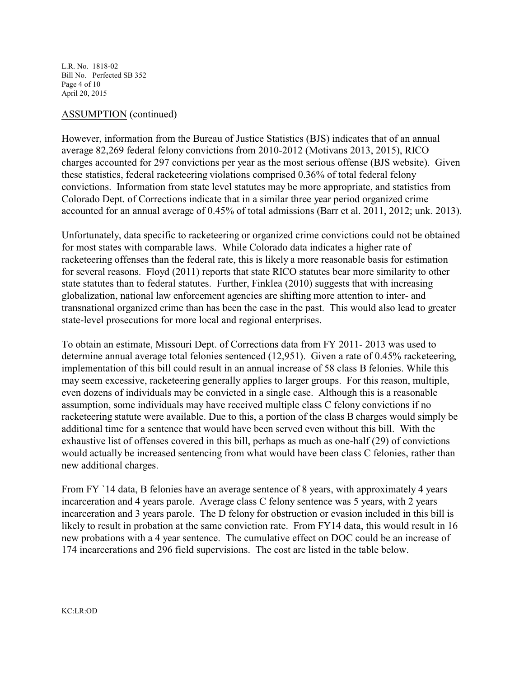L.R. No. 1818-02 Bill No. Perfected SB 352 Page 4 of 10 April 20, 2015

## ASSUMPTION (continued)

However, information from the Bureau of Justice Statistics (BJS) indicates that of an annual average 82,269 federal felony convictions from 2010-2012 (Motivans 2013, 2015), RICO charges accounted for 297 convictions per year as the most serious offense (BJS website). Given these statistics, federal racketeering violations comprised 0.36% of total federal felony convictions. Information from state level statutes may be more appropriate, and statistics from Colorado Dept. of Corrections indicate that in a similar three year period organized crime accounted for an annual average of 0.45% of total admissions (Barr et al. 2011, 2012; unk. 2013).

Unfortunately, data specific to racketeering or organized crime convictions could not be obtained for most states with comparable laws. While Colorado data indicates a higher rate of racketeering offenses than the federal rate, this is likely a more reasonable basis for estimation for several reasons. Floyd (2011) reports that state RICO statutes bear more similarity to other state statutes than to federal statutes. Further, Finklea (2010) suggests that with increasing globalization, national law enforcement agencies are shifting more attention to inter- and transnational organized crime than has been the case in the past. This would also lead to greater state-level prosecutions for more local and regional enterprises.

To obtain an estimate, Missouri Dept. of Corrections data from FY 2011- 2013 was used to determine annual average total felonies sentenced (12,951). Given a rate of 0.45% racketeering, implementation of this bill could result in an annual increase of 58 class B felonies. While this may seem excessive, racketeering generally applies to larger groups. For this reason, multiple, even dozens of individuals may be convicted in a single case. Although this is a reasonable assumption, some individuals may have received multiple class C felony convictions if no racketeering statute were available. Due to this, a portion of the class B charges would simply be additional time for a sentence that would have been served even without this bill. With the exhaustive list of offenses covered in this bill, perhaps as much as one-half (29) of convictions would actually be increased sentencing from what would have been class C felonies, rather than new additional charges.

From FY `14 data, B felonies have an average sentence of 8 years, with approximately 4 years incarceration and 4 years parole. Average class C felony sentence was 5 years, with 2 years incarceration and 3 years parole. The D felony for obstruction or evasion included in this bill is likely to result in probation at the same conviction rate. From FY14 data, this would result in 16 new probations with a 4 year sentence. The cumulative effect on DOC could be an increase of 174 incarcerations and 296 field supervisions. The cost are listed in the table below.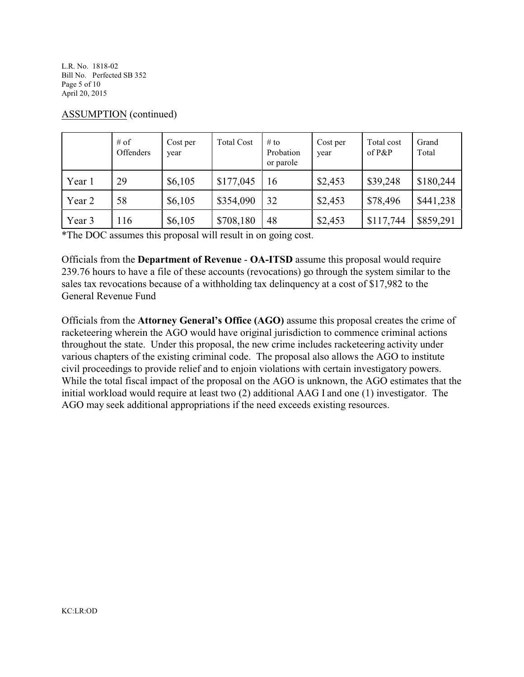L.R. No. 1818-02 Bill No. Perfected SB 352 Page 5 of 10 April 20, 2015

|        | $#$ of<br>Offenders | Cost per<br>year | <b>Total Cost</b> | $#$ to<br>Probation<br>or parole | Cost per<br>year | Total cost<br>of $P\&P$ | Grand<br>Total |
|--------|---------------------|------------------|-------------------|----------------------------------|------------------|-------------------------|----------------|
| Year 1 | 29                  | \$6,105          | \$177,045         | 16                               | \$2,453          | \$39,248                | \$180,244      |
| Year 2 | 58                  | \$6,105          | \$354,090         | 32                               | \$2,453          | \$78,496                | \$441,238      |
| Year 3 | 116                 | \$6,105          | \$708,180         | 48                               | \$2,453          | \$117,744               | \$859,291      |

## ASSUMPTION (continued)

\*The DOC assumes this proposal will result in on going cost.

Officials from the **Department of Revenue** - **OA-ITSD** assume this proposal would require 239.76 hours to have a file of these accounts (revocations) go through the system similar to the sales tax revocations because of a withholding tax delinquency at a cost of \$17,982 to the General Revenue Fund

Officials from the **Attorney General's Office (AGO)** assume this proposal creates the crime of racketeering wherein the AGO would have original jurisdiction to commence criminal actions throughout the state. Under this proposal, the new crime includes racketeering activity under various chapters of the existing criminal code. The proposal also allows the AGO to institute civil proceedings to provide relief and to enjoin violations with certain investigatory powers. While the total fiscal impact of the proposal on the AGO is unknown, the AGO estimates that the initial workload would require at least two (2) additional AAG I and one (1) investigator. The AGO may seek additional appropriations if the need exceeds existing resources.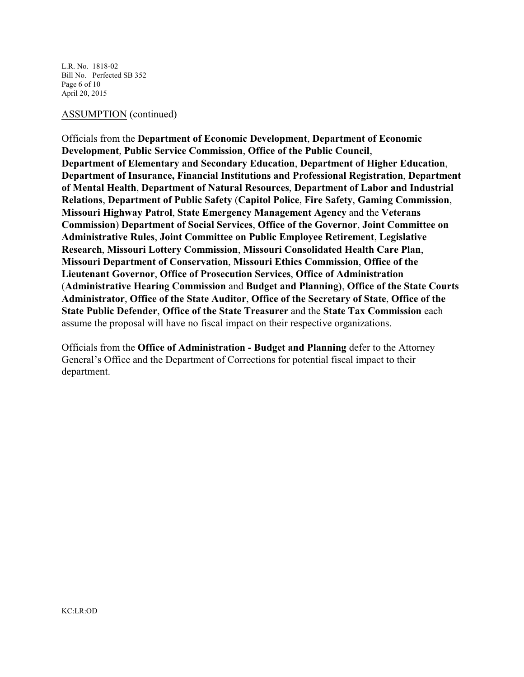L.R. No. 1818-02 Bill No. Perfected SB 352 Page 6 of 10 April 20, 2015

#### ASSUMPTION (continued)

Officials from the **Department of Economic Development**, **Department of Economic Development**, **Public Service Commission**, **Office of the Public Council**, **Department of Elementary and Secondary Education**, **Department of Higher Education**, **Department of Insurance, Financial Institutions and Professional Registration**, **Department of Mental Health**, **Department of Natural Resources**, **Department of Labor and Industrial Relations**, **Department of Public Safety** (**Capitol Police**, **Fire Safety**, **Gaming Commission**, **Missouri Highway Patrol**, **State Emergency Management Agency** and the **Veterans Commission**) **Department of Social Services**, **Office of the Governor**, **Joint Committee on Administrative Rules**, **Joint Committee on Public Employee Retirement**, **Legislative Research**, **Missouri Lottery Commission**, **Missouri Consolidated Health Care Plan**, **Missouri Department of Conservation**, **Missouri Ethics Commission**, **Office of the Lieutenant Governor**, **Office of Prosecution Services**, **Office of Administration** (**Administrative Hearing Commission** and **Budget and Planning)**, **Office of the State Courts Administrator**, **Office of the State Auditor**, **Office of the Secretary of State**, **Office of the State Public Defender**, **Office of the State Treasurer** and the **State Tax Commission** each assume the proposal will have no fiscal impact on their respective organizations.

Officials from the **Office of Administration - Budget and Planning** defer to the Attorney General's Office and the Department of Corrections for potential fiscal impact to their department.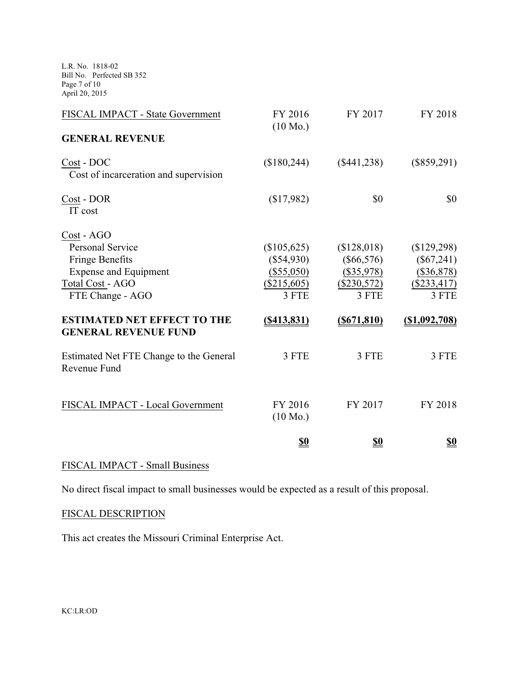L.R. No. 1818-02 Bill No. Perfected SB 352 Page 7 of 10 April 20, 2015

| FISCAL IMPACT - State Government                                                                                                                                                                             | FY 2016<br>$(10 \text{ Mo.})$                                                                | FY 2017                                                                                        | FY 2018                                                                                         |
|--------------------------------------------------------------------------------------------------------------------------------------------------------------------------------------------------------------|----------------------------------------------------------------------------------------------|------------------------------------------------------------------------------------------------|-------------------------------------------------------------------------------------------------|
| <b>GENERAL REVENUE</b>                                                                                                                                                                                       |                                                                                              |                                                                                                |                                                                                                 |
| Cost - DOC<br>Cost of incarceration and supervision                                                                                                                                                          | (\$180,244)                                                                                  | $(\$441,238)$                                                                                  | $(\$859,291)$                                                                                   |
| Cost - DOR<br>IT cost                                                                                                                                                                                        | (\$17,982)                                                                                   | \$0                                                                                            | \$0                                                                                             |
| Cost - AGO<br><b>Personal Service</b><br><b>Fringe Benefits</b><br><b>Expense and Equipment</b><br>Total Cost - AGO<br>FTE Change - AGO<br><b>ESTIMATED NET EFFECT TO THE</b><br><b>GENERAL REVENUE FUND</b> | (\$105,625)<br>$(\$54,930)$<br>(\$55,050)<br>(\$215,605)<br>3 FTE<br>$($ \$413,831)<br>3 FTE | (\$128,018)<br>$(\$66,576)$<br>(\$35,978)<br>$(\$230,572)$<br>3 FTE<br>$($ \$671,810)<br>3 FTE | (\$129,298)<br>$(\$67,241)$<br>(\$36,878)<br>$(\$233,417)$<br>3 FTE<br>$(\$1,092,708)$<br>3 FTE |
| Estimated Net FTE Change to the General<br>Revenue Fund                                                                                                                                                      |                                                                                              |                                                                                                |                                                                                                 |
| FISCAL IMPACT - Local Government                                                                                                                                                                             | FY 2016<br>$(10 \text{ Mo.})$                                                                | FY 2017                                                                                        | FY 2018                                                                                         |
|                                                                                                                                                                                                              | <u>\$0</u>                                                                                   | <u>\$0</u>                                                                                     | <u>\$0</u>                                                                                      |

## FISCAL IMPACT - Small Business

No direct fiscal impact to small businesses would be expected as a result of this proposal.

## FISCAL DESCRIPTION

This act creates the Missouri Criminal Enterprise Act.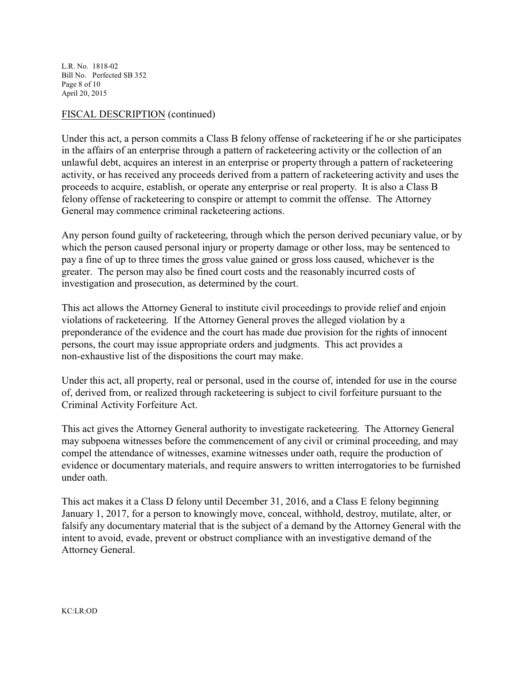L.R. No. 1818-02 Bill No. Perfected SB 352 Page 8 of 10 April 20, 2015

## FISCAL DESCRIPTION (continued)

Under this act, a person commits a Class B felony offense of racketeering if he or she participates in the affairs of an enterprise through a pattern of racketeering activity or the collection of an unlawful debt, acquires an interest in an enterprise or property through a pattern of racketeering activity, or has received any proceeds derived from a pattern of racketeering activity and uses the proceeds to acquire, establish, or operate any enterprise or real property. It is also a Class B felony offense of racketeering to conspire or attempt to commit the offense. The Attorney General may commence criminal racketeering actions.

Any person found guilty of racketeering, through which the person derived pecuniary value, or by which the person caused personal injury or property damage or other loss, may be sentenced to pay a fine of up to three times the gross value gained or gross loss caused, whichever is the greater. The person may also be fined court costs and the reasonably incurred costs of investigation and prosecution, as determined by the court.

This act allows the Attorney General to institute civil proceedings to provide relief and enjoin violations of racketeering. If the Attorney General proves the alleged violation by a preponderance of the evidence and the court has made due provision for the rights of innocent persons, the court may issue appropriate orders and judgments. This act provides a non-exhaustive list of the dispositions the court may make.

Under this act, all property, real or personal, used in the course of, intended for use in the course of, derived from, or realized through racketeering is subject to civil forfeiture pursuant to the Criminal Activity Forfeiture Act.

This act gives the Attorney General authority to investigate racketeering. The Attorney General may subpoena witnesses before the commencement of any civil or criminal proceeding, and may compel the attendance of witnesses, examine witnesses under oath, require the production of evidence or documentary materials, and require answers to written interrogatories to be furnished under oath.

This act makes it a Class D felony until December 31, 2016, and a Class E felony beginning January 1, 2017, for a person to knowingly move, conceal, withhold, destroy, mutilate, alter, or falsify any documentary material that is the subject of a demand by the Attorney General with the intent to avoid, evade, prevent or obstruct compliance with an investigative demand of the Attorney General.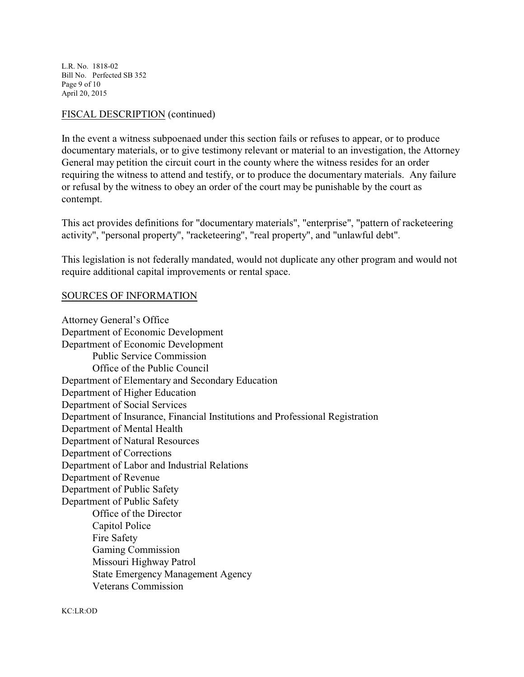L.R. No. 1818-02 Bill No. Perfected SB 352 Page 9 of 10 April 20, 2015

### FISCAL DESCRIPTION (continued)

In the event a witness subpoenaed under this section fails or refuses to appear, or to produce documentary materials, or to give testimony relevant or material to an investigation, the Attorney General may petition the circuit court in the county where the witness resides for an order requiring the witness to attend and testify, or to produce the documentary materials. Any failure or refusal by the witness to obey an order of the court may be punishable by the court as contempt.

This act provides definitions for "documentary materials", "enterprise", "pattern of racketeering activity", "personal property", "racketeering", "real property", and "unlawful debt".

This legislation is not federally mandated, would not duplicate any other program and would not require additional capital improvements or rental space.

### SOURCES OF INFORMATION

Attorney General's Office Department of Economic Development Department of Economic Development Public Service Commission Office of the Public Council Department of Elementary and Secondary Education Department of Higher Education Department of Social Services Department of Insurance, Financial Institutions and Professional Registration Department of Mental Health Department of Natural Resources Department of Corrections Department of Labor and Industrial Relations Department of Revenue Department of Public Safety Department of Public Safety Office of the Director Capitol Police Fire Safety Gaming Commission Missouri Highway Patrol State Emergency Management Agency Veterans Commission